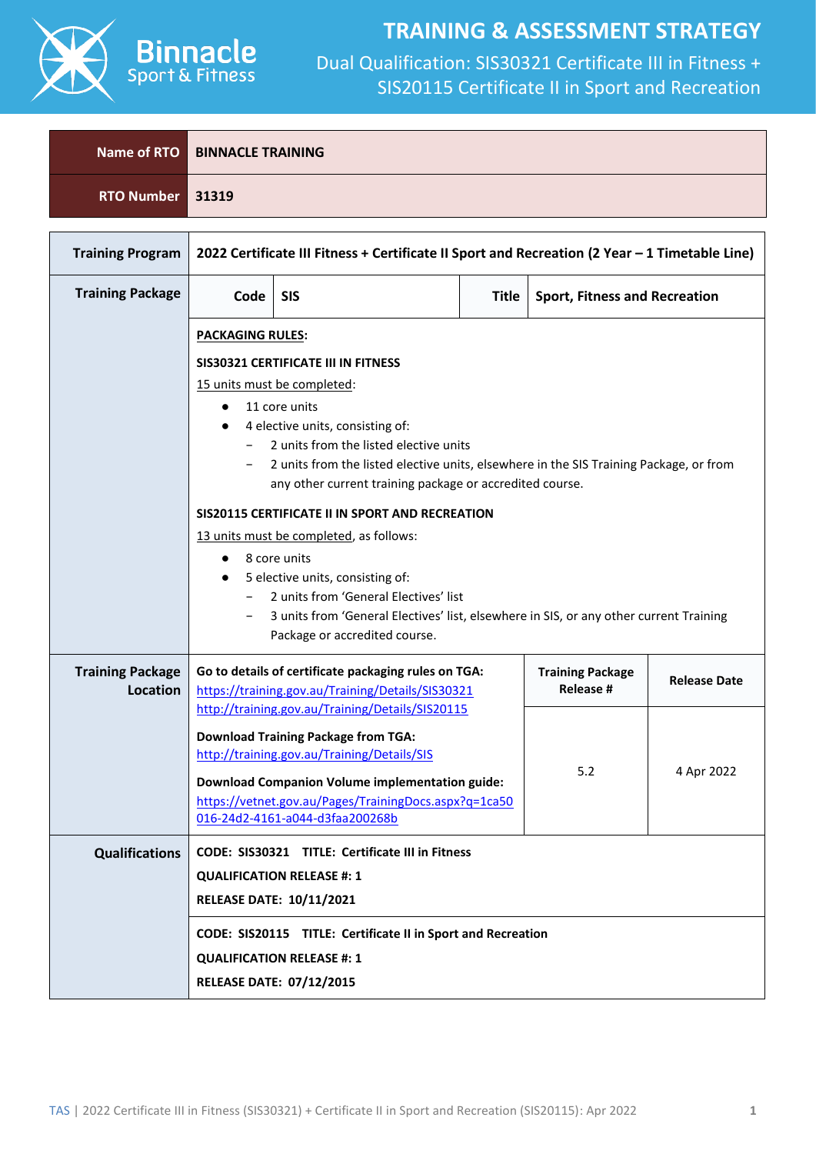

### **TRAINING & ASSESSMENT STRATEGY**

|                  | Name of RTO BINNACLE TRAINING |
|------------------|-------------------------------|
| RTO Number 31319 |                               |
|                  |                               |
|                  |                               |

| <b>Training Program</b>             |                                 | 2022 Certificate III Fitness + Certificate II Sport and Recreation (2 Year - 1 Timetable Line)                                                                                                                                                                                   |  |                                      |                     |  |  |
|-------------------------------------|---------------------------------|----------------------------------------------------------------------------------------------------------------------------------------------------------------------------------------------------------------------------------------------------------------------------------|--|--------------------------------------|---------------------|--|--|
| <b>Training Package</b>             | Code                            | <b>SIS</b><br><b>Title</b><br><b>Sport, Fitness and Recreation</b>                                                                                                                                                                                                               |  |                                      |                     |  |  |
|                                     |                                 | <b>PACKAGING RULES:</b>                                                                                                                                                                                                                                                          |  |                                      |                     |  |  |
|                                     |                                 | SIS30321 CERTIFICATE III IN FITNESS                                                                                                                                                                                                                                              |  |                                      |                     |  |  |
|                                     |                                 | 15 units must be completed:<br>11 core units<br>4 elective units, consisting of:<br>2 units from the listed elective units<br>2 units from the listed elective units, elsewhere in the SIS Training Package, or from<br>any other current training package or accredited course. |  |                                      |                     |  |  |
|                                     |                                 |                                                                                                                                                                                                                                                                                  |  |                                      |                     |  |  |
|                                     |                                 | SIS20115 CERTIFICATE II IN SPORT AND RECREATION                                                                                                                                                                                                                                  |  |                                      |                     |  |  |
|                                     |                                 | 13 units must be completed, as follows:                                                                                                                                                                                                                                          |  |                                      |                     |  |  |
|                                     | $\bullet$                       | 8 core units                                                                                                                                                                                                                                                                     |  |                                      |                     |  |  |
|                                     |                                 | 5 elective units, consisting of:<br>2 units from 'General Electives' list                                                                                                                                                                                                        |  |                                      |                     |  |  |
|                                     |                                 | 3 units from 'General Electives' list, elsewhere in SIS, or any other current Training                                                                                                                                                                                           |  |                                      |                     |  |  |
|                                     |                                 | Package or accredited course.                                                                                                                                                                                                                                                    |  |                                      |                     |  |  |
| <b>Training Package</b><br>Location |                                 | Go to details of certificate packaging rules on TGA:<br>https://training.gov.au/Training/Details/SIS30321<br>http://training.gov.au/Training/Details/SIS20115                                                                                                                    |  | <b>Training Package</b><br>Release # | <b>Release Date</b> |  |  |
|                                     |                                 | <b>Download Training Package from TGA:</b><br>http://training.gov.au/Training/Details/SIS                                                                                                                                                                                        |  | 5.2                                  | 4 Apr 2022          |  |  |
|                                     |                                 | <b>Download Companion Volume implementation guide:</b><br>https://vetnet.gov.au/Pages/TrainingDocs.aspx?q=1ca50<br>016-24d2-4161-a044-d3faa200268b                                                                                                                               |  |                                      |                     |  |  |
| <b>Qualifications</b>               |                                 | CODE: SIS30321 TITLE: Certificate III in Fitness                                                                                                                                                                                                                                 |  |                                      |                     |  |  |
|                                     |                                 | <b>QUALIFICATION RELEASE #: 1</b>                                                                                                                                                                                                                                                |  |                                      |                     |  |  |
|                                     | <b>RELEASE DATE: 10/11/2021</b> |                                                                                                                                                                                                                                                                                  |  |                                      |                     |  |  |
|                                     |                                 | CODE: SIS20115 TITLE: Certificate II in Sport and Recreation                                                                                                                                                                                                                     |  |                                      |                     |  |  |
|                                     |                                 | <b>QUALIFICATION RELEASE #: 1</b>                                                                                                                                                                                                                                                |  |                                      |                     |  |  |
|                                     |                                 | <b>RELEASE DATE: 07/12/2015</b>                                                                                                                                                                                                                                                  |  |                                      |                     |  |  |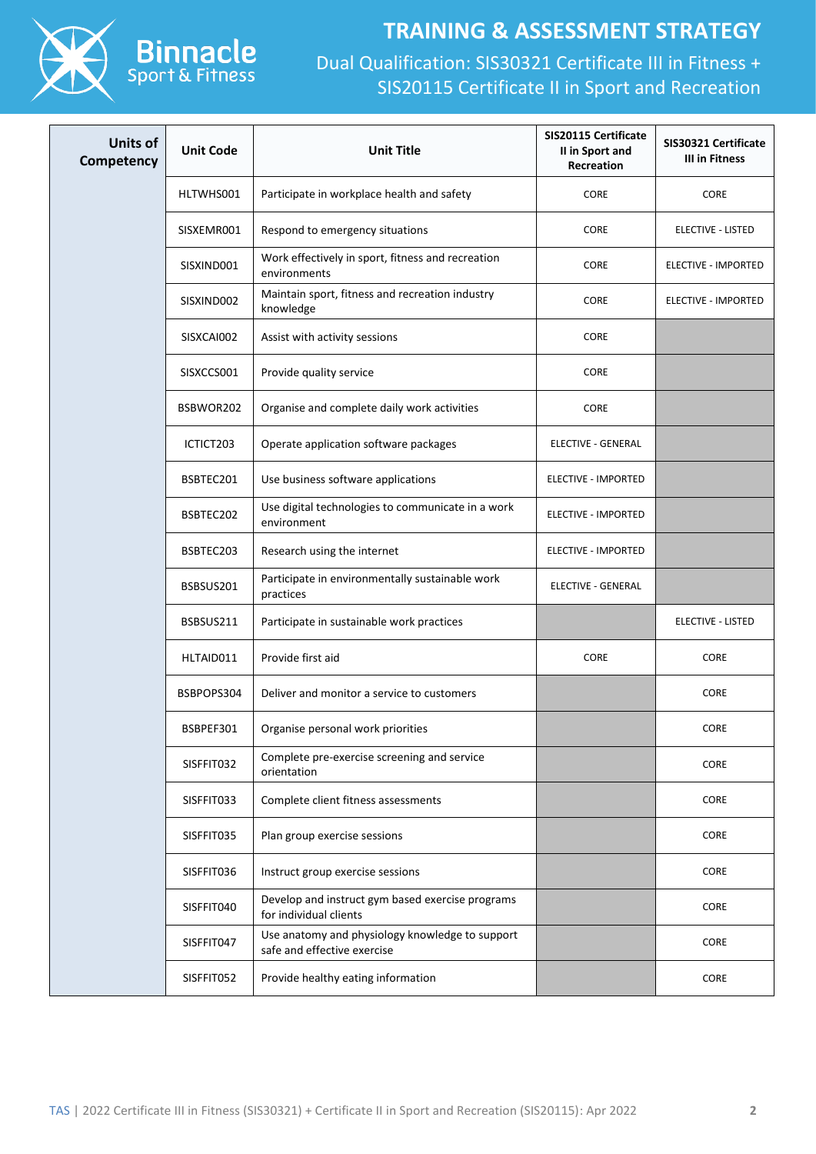

#### **TRAINING & ASSESSMENT STRATEGY**

| <b>Units of</b><br>Competency | <b>Unit Code</b> | <b>Unit Title</b>                                                              | <b>SIS20115 Certificate</b><br>II in Sport and<br>Recreation | SIS30321 Certificate<br>III in Fitness |
|-------------------------------|------------------|--------------------------------------------------------------------------------|--------------------------------------------------------------|----------------------------------------|
|                               | HLTWHS001        | Participate in workplace health and safety                                     | CORE                                                         | <b>CORE</b>                            |
|                               | SISXEMR001       | Respond to emergency situations                                                | CORE                                                         | ELECTIVE - LISTED                      |
|                               | SISXIND001       | Work effectively in sport, fitness and recreation<br>environments              | CORE                                                         | ELECTIVE - IMPORTED                    |
|                               | SISXIND002       | Maintain sport, fitness and recreation industry<br>knowledge                   | CORE                                                         | ELECTIVE - IMPORTED                    |
|                               | SISXCAI002       | Assist with activity sessions                                                  | CORE                                                         |                                        |
|                               | SISXCCS001       | Provide quality service                                                        | CORE                                                         |                                        |
|                               | BSBWOR202        | Organise and complete daily work activities                                    | CORE                                                         |                                        |
|                               | ICTICT203        | Operate application software packages                                          | ELECTIVE - GENERAL                                           |                                        |
|                               | BSBTEC201        | Use business software applications                                             | ELECTIVE - IMPORTED                                          |                                        |
|                               | BSBTEC202        | Use digital technologies to communicate in a work<br>environment               | ELECTIVE - IMPORTED                                          |                                        |
|                               | BSBTEC203        | Research using the internet                                                    | ELECTIVE - IMPORTED                                          |                                        |
|                               | BSBSUS201        | Participate in environmentally sustainable work<br>practices                   | <b>ELECTIVE - GENERAL</b>                                    |                                        |
|                               | BSBSUS211        | Participate in sustainable work practices                                      |                                                              | ELECTIVE - LISTED                      |
|                               | HLTAID011        | Provide first aid                                                              | CORE                                                         | <b>CORE</b>                            |
|                               | BSBPOPS304       | Deliver and monitor a service to customers                                     |                                                              | <b>CORE</b>                            |
|                               | BSBPEF301        | Organise personal work priorities                                              |                                                              | <b>CORE</b>                            |
|                               | SISFFIT032       | Complete pre-exercise screening and service<br>orientation                     |                                                              | <b>CORE</b>                            |
|                               | SISFFIT033       | Complete client fitness assessments                                            |                                                              | <b>CORE</b>                            |
|                               | SISFFIT035       | Plan group exercise sessions                                                   |                                                              | CORE                                   |
|                               | SISFFIT036       | Instruct group exercise sessions                                               |                                                              | <b>CORE</b>                            |
|                               | SISFFIT040       | Develop and instruct gym based exercise programs<br>for individual clients     |                                                              | <b>CORE</b>                            |
|                               | SISFFIT047       | Use anatomy and physiology knowledge to support<br>safe and effective exercise |                                                              | CORE                                   |
|                               | SISFFIT052       | Provide healthy eating information                                             |                                                              | <b>CORE</b>                            |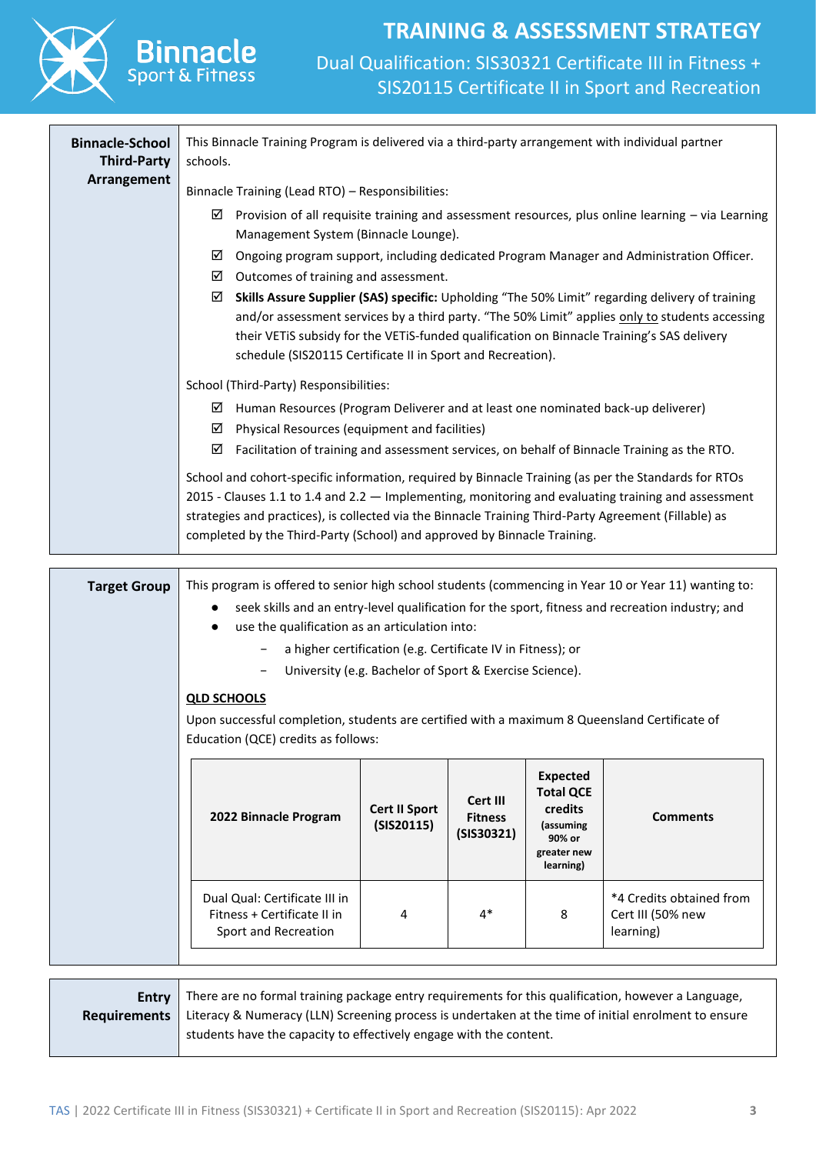

### **TRAINING & ASSESSMENT STRATEGY** Dual Qualification: SIS30321 Certificate III in Fitness + SIS20115 Certificate II in Sport and Recreation

| <b>Binnacle-School</b><br><b>Third-Party</b> | This Binnacle Training Program is delivered via a third-party arrangement with individual partner<br>schools.                                                                                                                                                                                                                                                        |                                                             |                                          |                                                                                                   |                                                                                                  |  |  |
|----------------------------------------------|----------------------------------------------------------------------------------------------------------------------------------------------------------------------------------------------------------------------------------------------------------------------------------------------------------------------------------------------------------------------|-------------------------------------------------------------|------------------------------------------|---------------------------------------------------------------------------------------------------|--------------------------------------------------------------------------------------------------|--|--|
| Arrangement                                  | Binnacle Training (Lead RTO) - Responsibilities:                                                                                                                                                                                                                                                                                                                     |                                                             |                                          |                                                                                                   |                                                                                                  |  |  |
|                                              | Provision of all requisite training and assessment resources, plus online learning - via Learning<br>☑<br>Management System (Binnacle Lounge).                                                                                                                                                                                                                       |                                                             |                                          |                                                                                                   |                                                                                                  |  |  |
|                                              | ⊻<br>$\boxtimes$ Outcomes of training and assessment.                                                                                                                                                                                                                                                                                                                |                                                             |                                          |                                                                                                   | Ongoing program support, including dedicated Program Manager and Administration Officer.         |  |  |
|                                              | Skills Assure Supplier (SAS) specific: Upholding "The 50% Limit" regarding delivery of training<br>☑<br>and/or assessment services by a third party. "The 50% Limit" applies only to students accessing<br>their VETiS subsidy for the VETiS-funded qualification on Binnacle Training's SAS delivery<br>schedule (SIS20115 Certificate II in Sport and Recreation). |                                                             |                                          |                                                                                                   |                                                                                                  |  |  |
|                                              | School (Third-Party) Responsibilities:                                                                                                                                                                                                                                                                                                                               |                                                             |                                          |                                                                                                   |                                                                                                  |  |  |
|                                              | Human Resources (Program Deliverer and at least one nominated back-up deliverer)<br>⊻                                                                                                                                                                                                                                                                                |                                                             |                                          |                                                                                                   |                                                                                                  |  |  |
|                                              | Physical Resources (equipment and facilities)<br>☑<br>☑                                                                                                                                                                                                                                                                                                              |                                                             |                                          |                                                                                                   | Facilitation of training and assessment services, on behalf of Binnacle Training as the RTO.     |  |  |
|                                              | School and cohort-specific information, required by Binnacle Training (as per the Standards for RTOs                                                                                                                                                                                                                                                                 |                                                             |                                          |                                                                                                   |                                                                                                  |  |  |
|                                              | 2015 - Clauses 1.1 to 1.4 and 2.2 - Implementing, monitoring and evaluating training and assessment                                                                                                                                                                                                                                                                  |                                                             |                                          |                                                                                                   |                                                                                                  |  |  |
|                                              | strategies and practices), is collected via the Binnacle Training Third-Party Agreement (Fillable) as                                                                                                                                                                                                                                                                |                                                             |                                          |                                                                                                   |                                                                                                  |  |  |
|                                              | completed by the Third-Party (School) and approved by Binnacle Training.                                                                                                                                                                                                                                                                                             |                                                             |                                          |                                                                                                   |                                                                                                  |  |  |
| <b>Target Group</b>                          | This program is offered to senior high school students (commencing in Year 10 or Year 11) wanting to:                                                                                                                                                                                                                                                                |                                                             |                                          |                                                                                                   |                                                                                                  |  |  |
|                                              |                                                                                                                                                                                                                                                                                                                                                                      |                                                             |                                          |                                                                                                   | seek skills and an entry-level qualification for the sport, fitness and recreation industry; and |  |  |
|                                              | use the qualification as an articulation into:                                                                                                                                                                                                                                                                                                                       |                                                             |                                          |                                                                                                   |                                                                                                  |  |  |
|                                              | $\overline{\phantom{a}}$                                                                                                                                                                                                                                                                                                                                             | a higher certification (e.g. Certificate IV in Fitness); or |                                          |                                                                                                   |                                                                                                  |  |  |
|                                              | $\qquad \qquad -$                                                                                                                                                                                                                                                                                                                                                    | University (e.g. Bachelor of Sport & Exercise Science).     |                                          |                                                                                                   |                                                                                                  |  |  |
|                                              | <b>QLD SCHOOLS</b>                                                                                                                                                                                                                                                                                                                                                   |                                                             |                                          |                                                                                                   |                                                                                                  |  |  |
|                                              | Upon successful completion, students are certified with a maximum 8 Queensland Certificate of<br>Education (QCE) credits as follows:                                                                                                                                                                                                                                 |                                                             |                                          |                                                                                                   |                                                                                                  |  |  |
|                                              |                                                                                                                                                                                                                                                                                                                                                                      |                                                             |                                          |                                                                                                   |                                                                                                  |  |  |
|                                              | 2022 Binnacle Program                                                                                                                                                                                                                                                                                                                                                | <b>Cert II Sport</b><br>(SIS20115)                          | Cert III<br><b>Fitness</b><br>(SIS30321) | <b>Expected</b><br><b>Total QCE</b><br>credits<br>(assuming<br>90% or<br>greater new<br>learning) | <b>Comments</b>                                                                                  |  |  |
|                                              | Dual Qual: Certificate III in<br>Fitness + Certificate II in<br>Sport and Recreation                                                                                                                                                                                                                                                                                 | 4                                                           | $4*$                                     | 8                                                                                                 | *4 Credits obtained from<br>Cert III (50% new<br>learning)                                       |  |  |

| <b>Entry</b> There are no formal training package entry requirements for this qualification, however a Language,           |
|----------------------------------------------------------------------------------------------------------------------------|
| <b>Requirements</b>   Literacy & Numeracy (LLN) Screening process is undertaken at the time of initial enrolment to ensure |
| students have the capacity to effectively engage with the content.                                                         |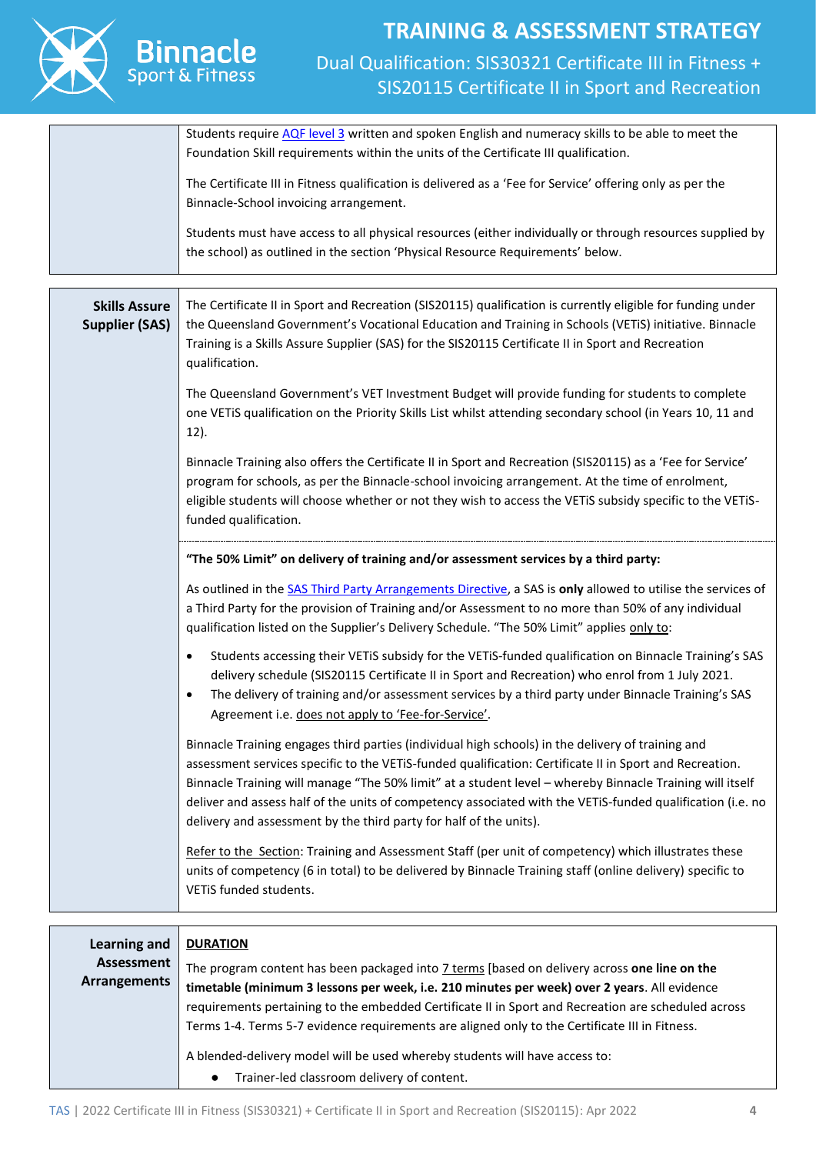

### **TRAINING & ASSESSMENT STRATEGY** Dual Qualification: SIS30321 Certificate III in Fitness + SIS20115 Certificate II in Sport and Recreation

|                                               | Students require AQF level 3 written and spoken English and numeracy skills to be able to meet the<br>Foundation Skill requirements within the units of the Certificate III qualification.                                                                                                                                                                                                                                                                                                                   |
|-----------------------------------------------|--------------------------------------------------------------------------------------------------------------------------------------------------------------------------------------------------------------------------------------------------------------------------------------------------------------------------------------------------------------------------------------------------------------------------------------------------------------------------------------------------------------|
|                                               | The Certificate III in Fitness qualification is delivered as a 'Fee for Service' offering only as per the<br>Binnacle-School invoicing arrangement.                                                                                                                                                                                                                                                                                                                                                          |
|                                               | Students must have access to all physical resources (either individually or through resources supplied by<br>the school) as outlined in the section 'Physical Resource Requirements' below.                                                                                                                                                                                                                                                                                                                  |
|                                               |                                                                                                                                                                                                                                                                                                                                                                                                                                                                                                              |
| <b>Skills Assure</b><br><b>Supplier (SAS)</b> | The Certificate II in Sport and Recreation (SIS20115) qualification is currently eligible for funding under<br>the Queensland Government's Vocational Education and Training in Schools (VETiS) initiative. Binnacle<br>Training is a Skills Assure Supplier (SAS) for the SIS20115 Certificate II in Sport and Recreation<br>qualification.                                                                                                                                                                 |
|                                               | The Queensland Government's VET Investment Budget will provide funding for students to complete<br>one VETiS qualification on the Priority Skills List whilst attending secondary school (in Years 10, 11 and<br>12).                                                                                                                                                                                                                                                                                        |
|                                               | Binnacle Training also offers the Certificate II in Sport and Recreation (SIS20115) as a 'Fee for Service'<br>program for schools, as per the Binnacle-school invoicing arrangement. At the time of enrolment,<br>eligible students will choose whether or not they wish to access the VETiS subsidy specific to the VETiS-<br>funded qualification.                                                                                                                                                         |
|                                               | "The 50% Limit" on delivery of training and/or assessment services by a third party:                                                                                                                                                                                                                                                                                                                                                                                                                         |
|                                               | As outlined in the SAS Third Party Arrangements Directive, a SAS is only allowed to utilise the services of<br>a Third Party for the provision of Training and/or Assessment to no more than 50% of any individual<br>qualification listed on the Supplier's Delivery Schedule. "The 50% Limit" applies only to:                                                                                                                                                                                             |
|                                               | Students accessing their VETiS subsidy for the VETiS-funded qualification on Binnacle Training's SAS<br>$\bullet$<br>delivery schedule (SIS20115 Certificate II in Sport and Recreation) who enrol from 1 July 2021.<br>The delivery of training and/or assessment services by a third party under Binnacle Training's SAS<br>$\bullet$<br>Agreement i.e. does not apply to 'Fee-for-Service'.                                                                                                               |
|                                               | Binnacle Training engages third parties (individual high schools) in the delivery of training and<br>assessment services specific to the VETiS-funded qualification: Certificate II in Sport and Recreation.<br>Binnacle Training will manage "The 50% limit" at a student level - whereby Binnacle Training will itself<br>deliver and assess half of the units of competency associated with the VETiS-funded qualification (i.e. no<br>delivery and assessment by the third party for half of the units). |
|                                               | Refer to the Section: Training and Assessment Staff (per unit of competency) which illustrates these<br>units of competency (6 in total) to be delivered by Binnacle Training staff (online delivery) specific to<br>VETIS funded students.                                                                                                                                                                                                                                                                  |
|                                               |                                                                                                                                                                                                                                                                                                                                                                                                                                                                                                              |
|                                               |                                                                                                                                                                                                                                                                                                                                                                                                                                                                                                              |
| <b>Learning and</b>                           | <b>DURATION</b>                                                                                                                                                                                                                                                                                                                                                                                                                                                                                              |
| <b>Assessment</b>                             | The program content has been packaged into 7 terms [based on delivery across and line on the                                                                                                                                                                                                                                                                                                                                                                                                                 |

**Arrangements** The program content has been packaged into 7 terms [based on delivery across **one line on the timetable (minimum 3 lessons per week, i.e. 210 minutes per week) over 2 years**. All evidence requirements pertaining to the embedded Certificate II in Sport and Recreation are scheduled across Terms 1-4. Terms 5-7 evidence requirements are aligned only to the Certificate III in Fitness.

A blended-delivery model will be used whereby students will have access to:

● Trainer-led classroom delivery of content.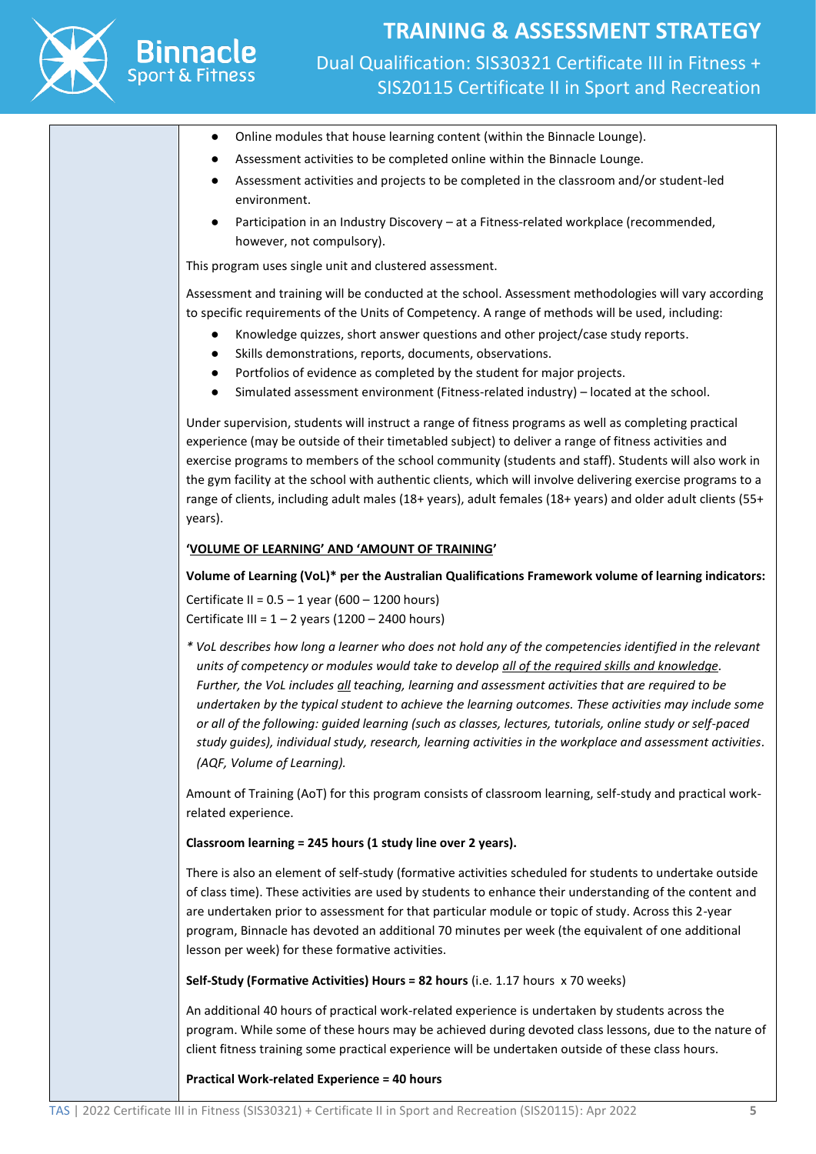

**Binnacle** 

- Online modules that house learning content (within the Binnacle Lounge).
- Assessment activities to be completed online within the Binnacle Lounge.
- Assessment activities and projects to be completed in the classroom and/or student-led environment.
- Participation in an Industry Discovery at a Fitness-related workplace (recommended, however, not compulsory).

This program uses single unit and clustered assessment.

Assessment and training will be conducted at the school. Assessment methodologies will vary according to specific requirements of the Units of Competency. A range of methods will be used, including:

- Knowledge quizzes, short answer questions and other project/case study reports.
- Skills demonstrations, reports, documents, observations.
- Portfolios of evidence as completed by the student for major projects.
- Simulated assessment environment (Fitness-related industry) located at the school.

Under supervision, students will instruct a range of fitness programs as well as completing practical experience (may be outside of their timetabled subject) to deliver a range of fitness activities and exercise programs to members of the school community (students and staff). Students will also work in the gym facility at the school with authentic clients, which will involve delivering exercise programs to a range of clients, including adult males (18+ years), adult females (18+ years) and older adult clients (55+ years).

#### **'VOLUME OF LEARNING' AND 'AMOUNT OF TRAINING'**

#### **Volume of Learning (VoL)\* per the Australian Qualifications Framework volume of learning indicators:**

Certificate II =  $0.5 - 1$  year (600 – 1200 hours) Certificate III =  $1 - 2$  years (1200 – 2400 hours)

*\* VoL describes how long a learner who does not hold any of the competencies identified in the relevant units of competency or modules would take to develop all of the required skills and knowledge. Further, the VoL includes all teaching, learning and assessment activities that are required to be undertaken by the typical student to achieve the learning outcomes. These activities may include some or all of the following: guided learning (such as classes, lectures, tutorials, online study or self-paced study guides), individual study, research, learning activities in the workplace and assessment activities. (AQF, Volume of Learning).*

Amount of Training (AoT) for this program consists of classroom learning, self-study and practical workrelated experience.

#### **Classroom learning = 245 hours (1 study line over 2 years).**

There is also an element of self-study (formative activities scheduled for students to undertake outside of class time). These activities are used by students to enhance their understanding of the content and are undertaken prior to assessment for that particular module or topic of study. Across this 2-year program, Binnacle has devoted an additional 70 minutes per week (the equivalent of one additional lesson per week) for these formative activities.

**Self-Study (Formative Activities) Hours = 82 hours** (i.e. 1.17 hours x 70 weeks)

An additional 40 hours of practical work-related experience is undertaken by students across the program. While some of these hours may be achieved during devoted class lessons, due to the nature of client fitness training some practical experience will be undertaken outside of these class hours.

**Practical Work-related Experience = 40 hours**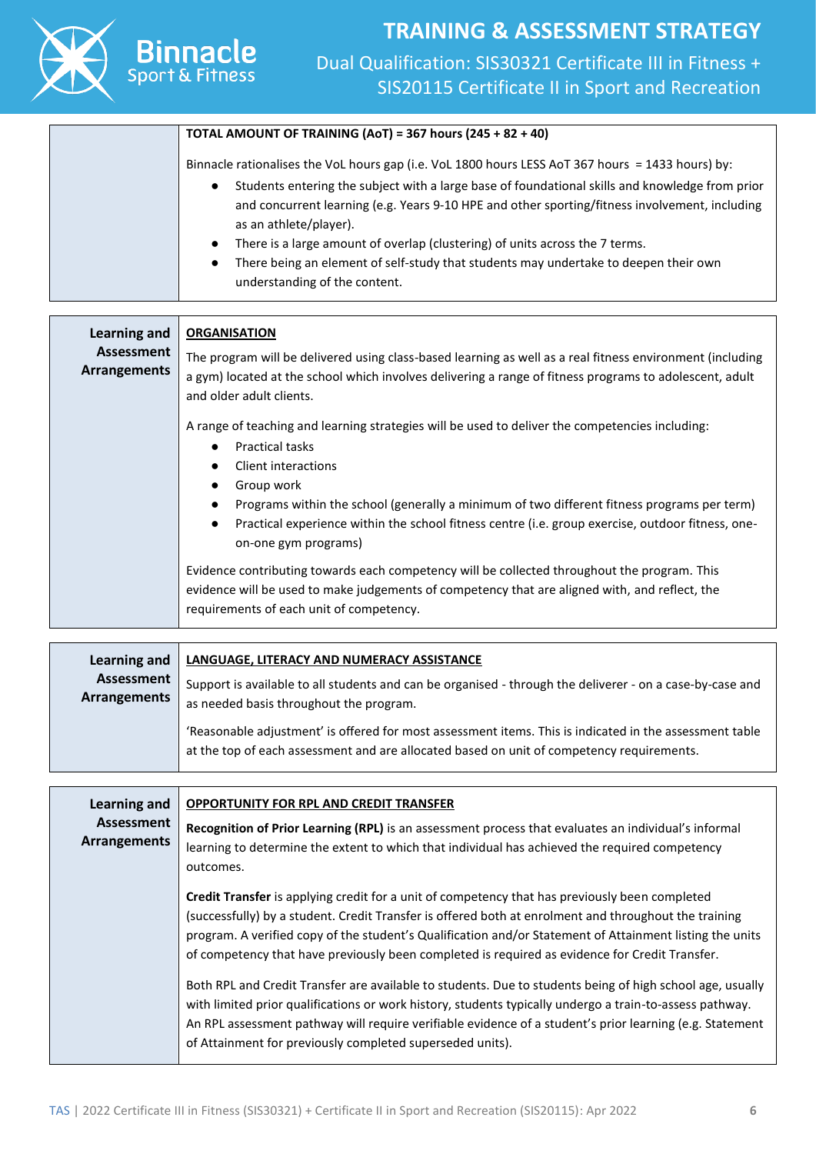

**Binnacle** 

#### **TOTAL AMOUNT OF TRAINING (AoT) = 367 hours (245 + 82 + 40)**

Binnacle rationalises the VoL hours gap (i.e. VoL 1800 hours LESS AoT 367 hours = 1433 hours) by:

- Students entering the subject with a large base of foundational skills and knowledge from prior and concurrent learning (e.g. Years 9-10 HPE and other sporting/fitness involvement, including as an athlete/player).
- There is a large amount of overlap (clustering) of units across the 7 terms.
- There being an element of self-study that students may undertake to deepen their own understanding of the content.

| Learning and                      | <b>ORGANISATION</b>                                                                                                                                                                                                                              |
|-----------------------------------|--------------------------------------------------------------------------------------------------------------------------------------------------------------------------------------------------------------------------------------------------|
| Assessment<br><b>Arrangements</b> | The program will be delivered using class-based learning as well as a real fitness environment (including<br>a gym) located at the school which involves delivering a range of fitness programs to adolescent, adult<br>and older adult clients. |
|                                   | A range of teaching and learning strategies will be used to deliver the competencies including:                                                                                                                                                  |
|                                   | <b>Practical tasks</b>                                                                                                                                                                                                                           |
|                                   | Client interactions<br>Group work                                                                                                                                                                                                                |
|                                   | Programs within the school (generally a minimum of two different fitness programs per term)<br>Practical experience within the school fitness centre (i.e. group exercise, outdoor fitness, one-<br>$\bullet$<br>on-one gym programs)            |
|                                   | Evidence contributing towards each competency will be collected throughout the program. This<br>evidence will be used to make judgements of competency that are aligned with, and reflect, the<br>requirements of each unit of competency.       |

| Learning and $\parallel$   | <b>LANGUAGE, LITERACY AND NUMERACY ASSISTANCE</b>                                                                                                                                                    |
|----------------------------|------------------------------------------------------------------------------------------------------------------------------------------------------------------------------------------------------|
| Assessment<br>Arrangements | Support is available to all students and can be organised - through the deliverer - on a case-by-case and<br>as needed basis throughout the program.                                                 |
|                            | 'Reasonable adjustment' is offered for most assessment items. This is indicated in the assessment table<br>at the top of each assessment and are allocated based on unit of competency requirements. |

| Learning and                             | <b>OPPORTUNITY FOR RPL AND CREDIT TRANSFER</b>                                                                                                                                                                                                                                                                                                                                                                               |  |  |  |  |  |
|------------------------------------------|------------------------------------------------------------------------------------------------------------------------------------------------------------------------------------------------------------------------------------------------------------------------------------------------------------------------------------------------------------------------------------------------------------------------------|--|--|--|--|--|
| <b>Assessment</b><br><b>Arrangements</b> | Recognition of Prior Learning (RPL) is an assessment process that evaluates an individual's informal<br>learning to determine the extent to which that individual has achieved the required competency<br>outcomes.                                                                                                                                                                                                          |  |  |  |  |  |
|                                          | <b>Credit Transfer</b> is applying credit for a unit of competency that has previously been completed<br>(successfully) by a student. Credit Transfer is offered both at enrolment and throughout the training<br>program. A verified copy of the student's Qualification and/or Statement of Attainment listing the units<br>of competency that have previously been completed is required as evidence for Credit Transfer. |  |  |  |  |  |
|                                          | Both RPL and Credit Transfer are available to students. Due to students being of high school age, usually<br>with limited prior qualifications or work history, students typically undergo a train-to-assess pathway.<br>An RPL assessment pathway will require verifiable evidence of a student's prior learning (e.g. Statement<br>of Attainment for previously completed superseded units).                               |  |  |  |  |  |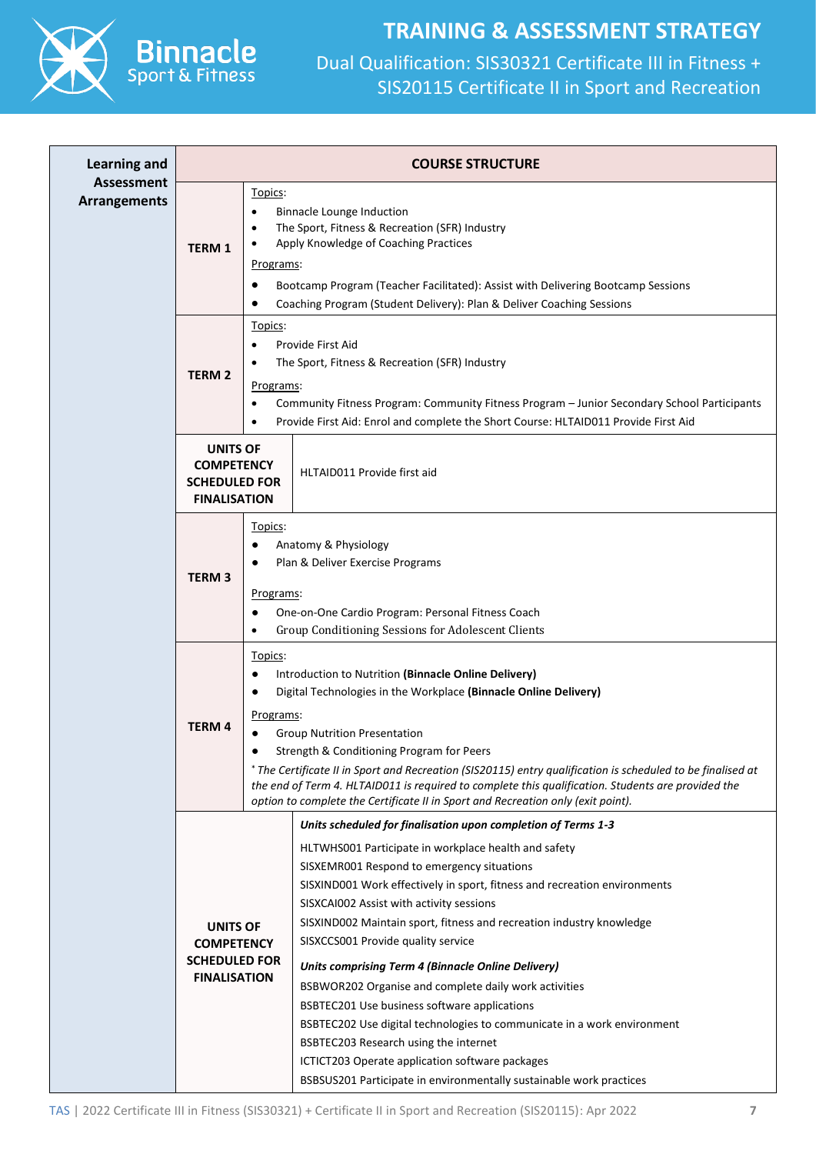



| <b>Learning and</b>                      |                                                                                     | <b>COURSE STRUCTURE</b>                                                                                                                                                                                                                                                                                                                                                                                                                                                                                                                                                                                                                                                                                                                                                                                                        |
|------------------------------------------|-------------------------------------------------------------------------------------|--------------------------------------------------------------------------------------------------------------------------------------------------------------------------------------------------------------------------------------------------------------------------------------------------------------------------------------------------------------------------------------------------------------------------------------------------------------------------------------------------------------------------------------------------------------------------------------------------------------------------------------------------------------------------------------------------------------------------------------------------------------------------------------------------------------------------------|
| <b>Assessment</b><br><b>Arrangements</b> | Topics:<br>$\bullet$<br><b>TERM1</b><br>Programs:                                   | <b>Binnacle Lounge Induction</b><br>The Sport, Fitness & Recreation (SFR) Industry<br>Apply Knowledge of Coaching Practices<br>Bootcamp Program (Teacher Facilitated): Assist with Delivering Bootcamp Sessions<br>Coaching Program (Student Delivery): Plan & Deliver Coaching Sessions                                                                                                                                                                                                                                                                                                                                                                                                                                                                                                                                       |
|                                          | Topics:<br>$\bullet$<br><b>TERM 2</b><br>Programs:<br>$\bullet$<br>$\bullet$        | Provide First Aid<br>The Sport, Fitness & Recreation (SFR) Industry<br>Community Fitness Program: Community Fitness Program - Junior Secondary School Participants<br>Provide First Aid: Enrol and complete the Short Course: HLTAID011 Provide First Aid                                                                                                                                                                                                                                                                                                                                                                                                                                                                                                                                                                      |
|                                          | <b>UNITS OF</b><br><b>COMPETENCY</b><br><b>SCHEDULED FOR</b><br><b>FINALISATION</b> | HLTAID011 Provide first aid                                                                                                                                                                                                                                                                                                                                                                                                                                                                                                                                                                                                                                                                                                                                                                                                    |
|                                          | Topics:<br><b>TERM3</b><br>Programs:                                                | Anatomy & Physiology<br>Plan & Deliver Exercise Programs<br>One-on-One Cardio Program: Personal Fitness Coach<br>Group Conditioning Sessions for Adolescent Clients                                                                                                                                                                                                                                                                                                                                                                                                                                                                                                                                                                                                                                                            |
|                                          | Topics:<br>$\bullet$<br><u>Programs:</u><br><b>TERM4</b>                            | Introduction to Nutrition (Binnacle Online Delivery)<br>Digital Technologies in the Workplace (Binnacle Online Delivery)<br><b>Group Nutrition Presentation</b><br>Strength & Conditioning Program for Peers<br>* The Certificate II in Sport and Recreation (SIS20115) entry qualification is scheduled to be finalised at<br>the end of Term 4. HLTAID011 is required to complete this qualification. Students are provided the<br>option to complete the Certificate II in Sport and Recreation only (exit point).                                                                                                                                                                                                                                                                                                          |
|                                          | <b>UNITS OF</b><br><b>COMPETENCY</b><br><b>SCHEDULED FOR</b><br><b>FINALISATION</b> | Units scheduled for finalisation upon completion of Terms 1-3<br>HLTWHS001 Participate in workplace health and safety<br>SISXEMR001 Respond to emergency situations<br>SISXIND001 Work effectively in sport, fitness and recreation environments<br>SISXCAI002 Assist with activity sessions<br>SISXIND002 Maintain sport, fitness and recreation industry knowledge<br>SISXCCS001 Provide quality service<br><b>Units comprising Term 4 (Binnacle Online Delivery)</b><br>BSBWOR202 Organise and complete daily work activities<br>BSBTEC201 Use business software applications<br>BSBTEC202 Use digital technologies to communicate in a work environment<br>BSBTEC203 Research using the internet<br>ICTICT203 Operate application software packages<br>BSBSUS201 Participate in environmentally sustainable work practices |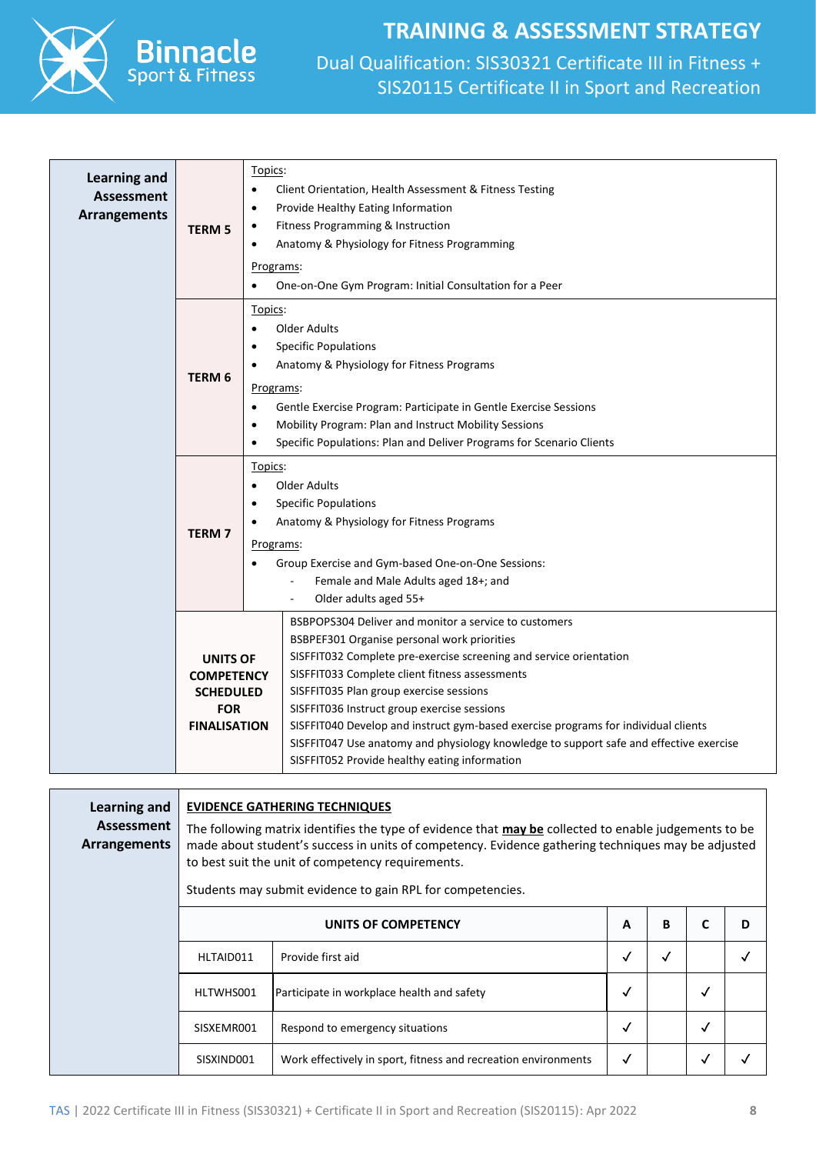

Spor

### **TRAINING & ASSESSMENT STRATEGY**

| <b>Learning and</b><br><b>Assessment</b><br>Arrangements | <b>TERM 5</b>                                                                                 | Topics:<br>Client Orientation, Health Assessment & Fitness Testing<br>$\bullet$<br>Provide Healthy Eating Information<br>$\bullet$<br>Fitness Programming & Instruction<br>$\bullet$<br>Anatomy & Physiology for Fitness Programming<br>$\bullet$<br>Programs:<br>One-on-One Gym Program: Initial Consultation for a Peer<br>$\bullet$                                                                                                                                                                                                                  |  |  |
|----------------------------------------------------------|-----------------------------------------------------------------------------------------------|---------------------------------------------------------------------------------------------------------------------------------------------------------------------------------------------------------------------------------------------------------------------------------------------------------------------------------------------------------------------------------------------------------------------------------------------------------------------------------------------------------------------------------------------------------|--|--|
|                                                          | TERM <sub>6</sub>                                                                             | Topics:<br>Older Adults<br>$\bullet$<br><b>Specific Populations</b><br>Anatomy & Physiology for Fitness Programs<br>Programs:<br>Gentle Exercise Program: Participate in Gentle Exercise Sessions<br>$\bullet$<br>Mobility Program: Plan and Instruct Mobility Sessions<br>$\bullet$<br>Specific Populations: Plan and Deliver Programs for Scenario Clients<br>$\bullet$                                                                                                                                                                               |  |  |
|                                                          | <b>TERM7</b>                                                                                  | Topics:<br>Older Adults<br><b>Specific Populations</b><br>$\bullet$<br>Anatomy & Physiology for Fitness Programs<br>$\bullet$<br>Programs:<br>Group Exercise and Gym-based One-on-One Sessions:<br>Female and Male Adults aged 18+; and<br>Older adults aged 55+                                                                                                                                                                                                                                                                                        |  |  |
|                                                          | <b>UNITS OF</b><br><b>COMPETENCY</b><br><b>SCHEDULED</b><br><b>FOR</b><br><b>FINALISATION</b> | BSBPOPS304 Deliver and monitor a service to customers<br>BSBPEF301 Organise personal work priorities<br>SISFFIT032 Complete pre-exercise screening and service orientation<br>SISFFIT033 Complete client fitness assessments<br>SISFFIT035 Plan group exercise sessions<br>SISFFIT036 Instruct group exercise sessions<br>SISFFIT040 Develop and instruct gym-based exercise programs for individual clients<br>SISFFIT047 Use anatomy and physiology knowledge to support safe and effective exercise<br>SISFFIT052 Provide healthy eating information |  |  |

| Learning and<br>Assessment<br>Arrangements |                     | <b>EVIDENCE GATHERING TECHNIQUES</b><br>The following matrix identifies the type of evidence that may be collected to enable judgements to be<br>made about student's success in units of competency. Evidence gathering techniques may be adjusted<br>to best suit the unit of competency requirements.<br>Students may submit evidence to gain RPL for competencies. |              |   |              |   |  |
|--------------------------------------------|---------------------|------------------------------------------------------------------------------------------------------------------------------------------------------------------------------------------------------------------------------------------------------------------------------------------------------------------------------------------------------------------------|--------------|---|--------------|---|--|
|                                            | UNITS OF COMPETENCY |                                                                                                                                                                                                                                                                                                                                                                        |              | В | C            | D |  |
|                                            | HLTAID011           | Provide first aid                                                                                                                                                                                                                                                                                                                                                      | $\checkmark$ | √ |              |   |  |
|                                            | HLTWHS001           | Participate in workplace health and safety                                                                                                                                                                                                                                                                                                                             | $\checkmark$ |   | √            |   |  |
|                                            | SISXEMR001          | Respond to emergency situations                                                                                                                                                                                                                                                                                                                                        | ✓            |   | $\checkmark$ |   |  |
|                                            | SISXIND001          | Work effectively in sport, fitness and recreation environments                                                                                                                                                                                                                                                                                                         | $\checkmark$ |   | $\checkmark$ |   |  |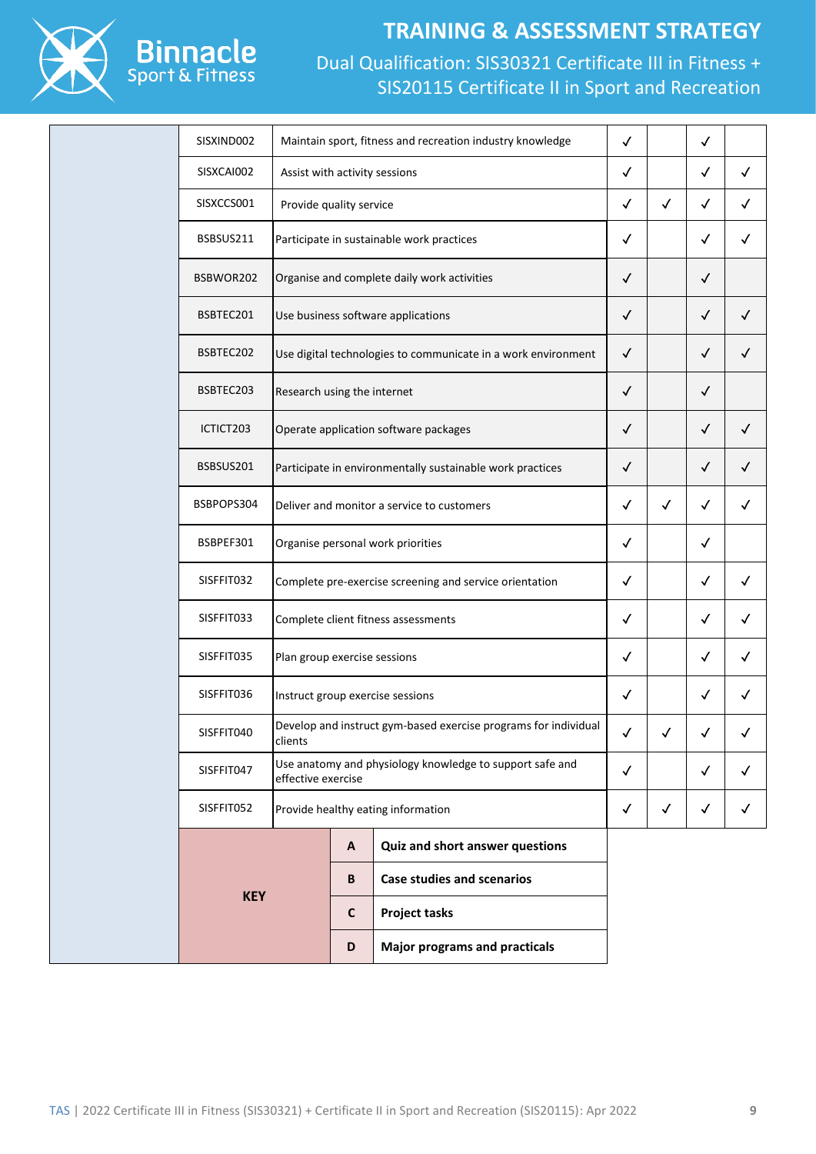

### **TRAINING & ASSESSMENT STRATEGY**

| SISXIND002 |                              |                                             | Maintain sport, fitness and recreation industry knowledge       | $\checkmark$ |              | $\checkmark$ |              |
|------------|------------------------------|---------------------------------------------|-----------------------------------------------------------------|--------------|--------------|--------------|--------------|
| SISXCAI002 |                              | Assist with activity sessions               |                                                                 |              |              | $\checkmark$ | $\checkmark$ |
| SISXCCS001 |                              | Provide quality service                     |                                                                 |              | $\checkmark$ | $\checkmark$ | $\checkmark$ |
| BSBSUS211  |                              | Participate in sustainable work practices   |                                                                 | $\checkmark$ |              | $\checkmark$ | $\checkmark$ |
| BSBWOR202  |                              | Organise and complete daily work activities |                                                                 | $\checkmark$ |              | $\checkmark$ |              |
| BSBTEC201  |                              |                                             | Use business software applications                              | $\checkmark$ |              | $\checkmark$ | $\checkmark$ |
| BSBTEC202  |                              |                                             | Use digital technologies to communicate in a work environment   | $\checkmark$ |              | $\checkmark$ | ✓            |
| BSBTEC203  | Research using the internet  |                                             |                                                                 | $\checkmark$ |              | $\checkmark$ |              |
| ICTICT203  |                              |                                             | Operate application software packages                           | $\checkmark$ |              | $\checkmark$ | $\checkmark$ |
| BSBSUS201  |                              |                                             | Participate in environmentally sustainable work practices       | $\checkmark$ |              | $\checkmark$ | $\checkmark$ |
| BSBPOPS304 |                              |                                             | Deliver and monitor a service to customers                      | $\checkmark$ | $\checkmark$ | $\checkmark$ | $\checkmark$ |
| BSBPEF301  |                              |                                             | Organise personal work priorities                               | $\checkmark$ |              | ✓            |              |
| SISFFIT032 |                              |                                             | Complete pre-exercise screening and service orientation         | $\checkmark$ |              | $\checkmark$ | $\checkmark$ |
| SISFFIT033 |                              |                                             | Complete client fitness assessments                             | $\checkmark$ |              | $\checkmark$ | $\checkmark$ |
| SISFFIT035 | Plan group exercise sessions |                                             |                                                                 | √            |              | ✓            | ✓            |
| SISFFIT036 |                              |                                             | Instruct group exercise sessions                                | $\checkmark$ |              | $\checkmark$ | $\checkmark$ |
| SISFFIT040 | clients                      |                                             | Develop and instruct gym-based exercise programs for individual | ✓            | ✓            | ✓            |              |
| SISFFIT047 | effective exercise           |                                             | Use anatomy and physiology knowledge to support safe and        | $\checkmark$ |              | $\checkmark$ | $\checkmark$ |
| SISFFIT052 |                              |                                             | Provide healthy eating information                              | $\checkmark$ | $\checkmark$ | $\checkmark$ | $\checkmark$ |
|            |                              | A                                           | Quiz and short answer questions                                 |              |              |              |              |
| <b>KEY</b> |                              | B                                           | <b>Case studies and scenarios</b>                               |              |              |              |              |
|            |                              | C                                           | <b>Project tasks</b>                                            |              |              |              |              |
|            |                              | D                                           | <b>Major programs and practicals</b>                            |              |              |              |              |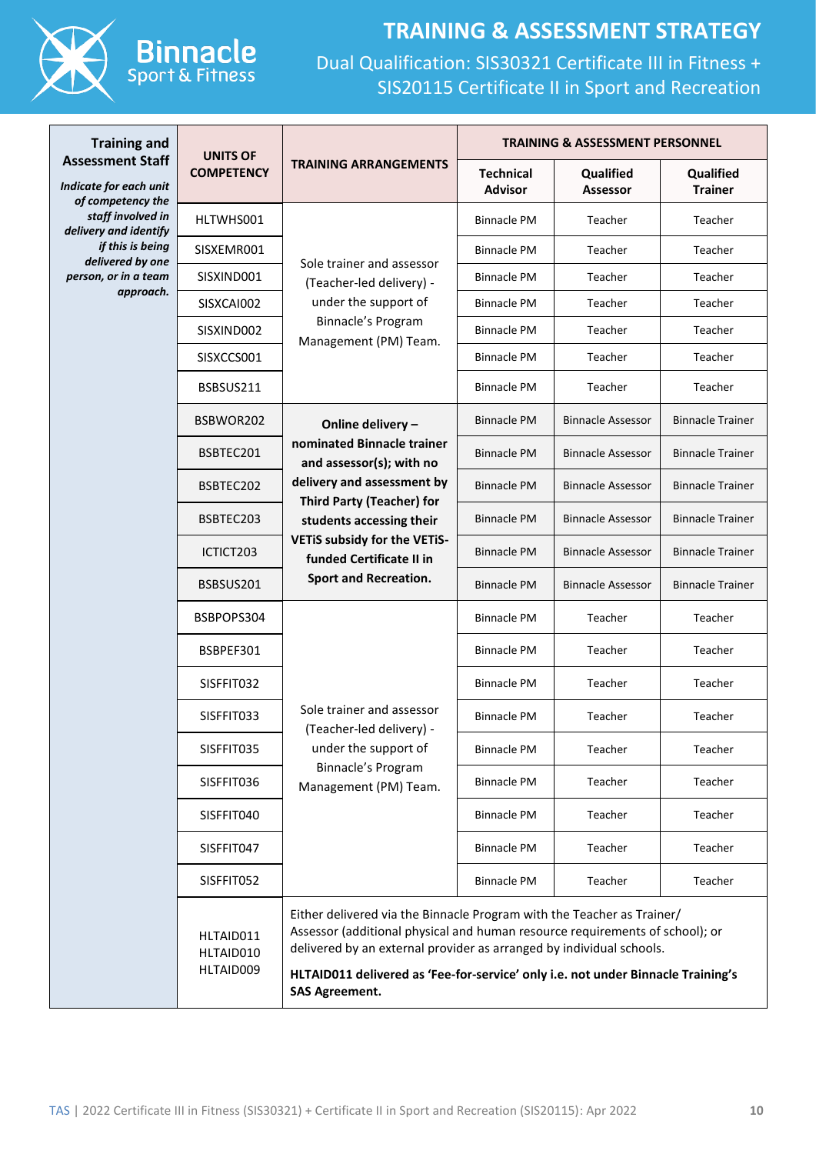

# **TRAINING & ASSESSMENT STRATEGY**

| <b>Training and</b>                                             | <b>UNITS OF</b>                     |                                                                                                                                                                                                                                                                                                                                             | <b>TRAINING &amp; ASSESSMENT PERSONNEL</b> |                              |                             |  |
|-----------------------------------------------------------------|-------------------------------------|---------------------------------------------------------------------------------------------------------------------------------------------------------------------------------------------------------------------------------------------------------------------------------------------------------------------------------------------|--------------------------------------------|------------------------------|-----------------------------|--|
| <b>Assessment Staff</b><br>Indicate for each unit               | <b>COMPETENCY</b>                   | <b>TRAINING ARRANGEMENTS</b>                                                                                                                                                                                                                                                                                                                | <b>Technical</b><br><b>Advisor</b>         | Qualified<br><b>Assessor</b> | Qualified<br><b>Trainer</b> |  |
| of competency the<br>staff involved in<br>delivery and identify | HLTWHS001                           |                                                                                                                                                                                                                                                                                                                                             | <b>Binnacle PM</b>                         | Teacher                      | Teacher                     |  |
| if this is being<br>delivered by one                            | SISXEMR001                          |                                                                                                                                                                                                                                                                                                                                             | <b>Binnacle PM</b>                         | Teacher                      | Teacher                     |  |
| person, or in a team                                            | SISXIND001                          | Sole trainer and assessor<br>(Teacher-led delivery) -<br>under the support of                                                                                                                                                                                                                                                               | <b>Binnacle PM</b>                         | Teacher                      | Teacher                     |  |
| approach.                                                       | SISXCAI002                          |                                                                                                                                                                                                                                                                                                                                             | <b>Binnacle PM</b>                         | Teacher                      | Teacher                     |  |
|                                                                 | SISXIND002                          | Binnacle's Program<br>Management (PM) Team.                                                                                                                                                                                                                                                                                                 | <b>Binnacle PM</b>                         | Teacher                      | Teacher                     |  |
|                                                                 | SISXCCS001                          |                                                                                                                                                                                                                                                                                                                                             | <b>Binnacle PM</b>                         | Teacher                      | Teacher                     |  |
|                                                                 | BSBSUS211                           |                                                                                                                                                                                                                                                                                                                                             | <b>Binnacle PM</b>                         | Teacher                      | Teacher                     |  |
|                                                                 | BSBWOR202                           | Online delivery -                                                                                                                                                                                                                                                                                                                           | <b>Binnacle PM</b>                         | <b>Binnacle Assessor</b>     | <b>Binnacle Trainer</b>     |  |
|                                                                 | BSBTEC201                           | nominated Binnacle trainer<br>and assessor(s); with no                                                                                                                                                                                                                                                                                      | <b>Binnacle PM</b>                         | <b>Binnacle Assessor</b>     | <b>Binnacle Trainer</b>     |  |
|                                                                 | BSBTEC202                           | delivery and assessment by<br><b>Third Party (Teacher) for</b>                                                                                                                                                                                                                                                                              | <b>Binnacle PM</b>                         | <b>Binnacle Assessor</b>     | <b>Binnacle Trainer</b>     |  |
|                                                                 | BSBTEC203                           | students accessing their<br>VETIS subsidy for the VETIS-<br>funded Certificate II in<br><b>Sport and Recreation.</b><br>Sole trainer and assessor<br>(Teacher-led delivery) -<br>under the support of<br>Binnacle's Program<br>Management (PM) Team.                                                                                        | <b>Binnacle PM</b>                         | <b>Binnacle Assessor</b>     | <b>Binnacle Trainer</b>     |  |
|                                                                 | ICTICT203                           |                                                                                                                                                                                                                                                                                                                                             | <b>Binnacle PM</b>                         | <b>Binnacle Assessor</b>     | <b>Binnacle Trainer</b>     |  |
|                                                                 | BSBSUS201                           |                                                                                                                                                                                                                                                                                                                                             | <b>Binnacle PM</b>                         | <b>Binnacle Assessor</b>     | <b>Binnacle Trainer</b>     |  |
|                                                                 | BSBPOPS304                          |                                                                                                                                                                                                                                                                                                                                             | <b>Binnacle PM</b>                         | Teacher                      | Teacher                     |  |
|                                                                 | BSBPEF301                           |                                                                                                                                                                                                                                                                                                                                             | <b>Binnacle PM</b>                         | Teacher                      | Teacher                     |  |
|                                                                 | SISFFIT032                          |                                                                                                                                                                                                                                                                                                                                             | <b>Binnacle PM</b>                         | Teacher                      | Teacher                     |  |
|                                                                 | SISFFIT033                          |                                                                                                                                                                                                                                                                                                                                             | <b>Binnacle PM</b>                         | Teacher                      | Teacher                     |  |
|                                                                 | SISFFIT035<br>SISFFIT036            |                                                                                                                                                                                                                                                                                                                                             | <b>Binnacle PM</b>                         | Teacher                      | Teacher                     |  |
|                                                                 |                                     |                                                                                                                                                                                                                                                                                                                                             | <b>Binnacle PM</b>                         | Teacher                      | Teacher                     |  |
|                                                                 | SISFFIT040                          |                                                                                                                                                                                                                                                                                                                                             | <b>Binnacle PM</b>                         | Teacher                      | Teacher                     |  |
|                                                                 | SISFFIT047                          |                                                                                                                                                                                                                                                                                                                                             | <b>Binnacle PM</b>                         | Teacher                      | Teacher                     |  |
|                                                                 | SISFFIT052                          |                                                                                                                                                                                                                                                                                                                                             | <b>Binnacle PM</b>                         | Teacher                      | Teacher                     |  |
|                                                                 | HLTAID011<br>HLTAID010<br>HLTAID009 | Either delivered via the Binnacle Program with the Teacher as Trainer/<br>Assessor (additional physical and human resource requirements of school); or<br>delivered by an external provider as arranged by individual schools.<br>HLTAID011 delivered as 'Fee-for-service' only i.e. not under Binnacle Training's<br><b>SAS Agreement.</b> |                                            |                              |                             |  |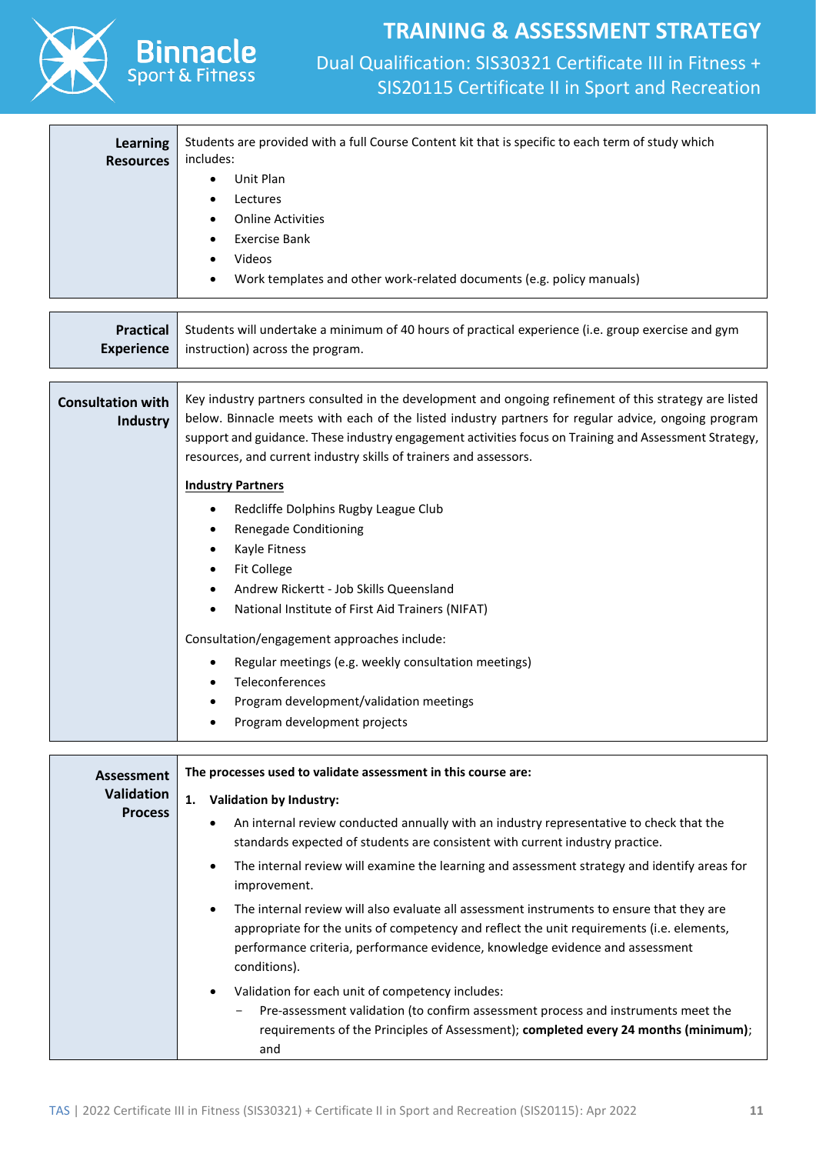

Spor

# **TRAINING & ASSESSMENT STRATEGY**

| Learning<br><b>Resources</b><br><b>Practical</b><br><b>Experience</b> | Students are provided with a full Course Content kit that is specific to each term of study which<br>includes:<br>Unit Plan<br>$\bullet$<br>Lectures<br><b>Online Activities</b><br><b>Exercise Bank</b><br>Videos<br>Work templates and other work-related documents (e.g. policy manuals)<br>Students will undertake a minimum of 40 hours of practical experience (i.e. group exercise and gym<br>instruction) across the program. |
|-----------------------------------------------------------------------|---------------------------------------------------------------------------------------------------------------------------------------------------------------------------------------------------------------------------------------------------------------------------------------------------------------------------------------------------------------------------------------------------------------------------------------|
|                                                                       |                                                                                                                                                                                                                                                                                                                                                                                                                                       |
| <b>Consultation with</b><br><b>Industry</b>                           | Key industry partners consulted in the development and ongoing refinement of this strategy are listed<br>below. Binnacle meets with each of the listed industry partners for regular advice, ongoing program<br>support and guidance. These industry engagement activities focus on Training and Assessment Strategy,<br>resources, and current industry skills of trainers and assessors.                                            |
|                                                                       | <b>Industry Partners</b>                                                                                                                                                                                                                                                                                                                                                                                                              |
|                                                                       | Redcliffe Dolphins Rugby League Club                                                                                                                                                                                                                                                                                                                                                                                                  |
|                                                                       | Renegade Conditioning                                                                                                                                                                                                                                                                                                                                                                                                                 |
|                                                                       | Kayle Fitness<br>٠                                                                                                                                                                                                                                                                                                                                                                                                                    |
|                                                                       | <b>Fit College</b><br>٠                                                                                                                                                                                                                                                                                                                                                                                                               |
|                                                                       | Andrew Rickertt - Job Skills Queensland<br>National Institute of First Aid Trainers (NIFAT)                                                                                                                                                                                                                                                                                                                                           |
|                                                                       |                                                                                                                                                                                                                                                                                                                                                                                                                                       |
|                                                                       | Consultation/engagement approaches include:                                                                                                                                                                                                                                                                                                                                                                                           |
|                                                                       | Regular meetings (e.g. weekly consultation meetings)<br>٠                                                                                                                                                                                                                                                                                                                                                                             |
|                                                                       | Teleconferences                                                                                                                                                                                                                                                                                                                                                                                                                       |
|                                                                       | Program development/validation meetings                                                                                                                                                                                                                                                                                                                                                                                               |
|                                                                       | Program development projects                                                                                                                                                                                                                                                                                                                                                                                                          |
| <b>Assessment</b><br><b>Validation</b>                                | The processes used to validate assessment in this course are:<br>1.<br><b>Validation by Industry:</b>                                                                                                                                                                                                                                                                                                                                 |
| <b>Process</b>                                                        | An internal review conducted annually with an industry representative to check that the<br>٠                                                                                                                                                                                                                                                                                                                                          |
|                                                                       | standards expected of students are consistent with current industry practice.                                                                                                                                                                                                                                                                                                                                                         |
|                                                                       | The internal review will examine the learning and assessment strategy and identify areas for<br>$\bullet$<br>improvement.                                                                                                                                                                                                                                                                                                             |
|                                                                       | The internal review will also evaluate all assessment instruments to ensure that they are<br>appropriate for the units of competency and reflect the unit requirements (i.e. elements,<br>performance criteria, performance evidence, knowledge evidence and assessment<br>conditions).                                                                                                                                               |
|                                                                       | Validation for each unit of competency includes:<br>Pre-assessment validation (to confirm assessment process and instruments meet the<br>requirements of the Principles of Assessment); completed every 24 months (minimum);<br>and                                                                                                                                                                                                   |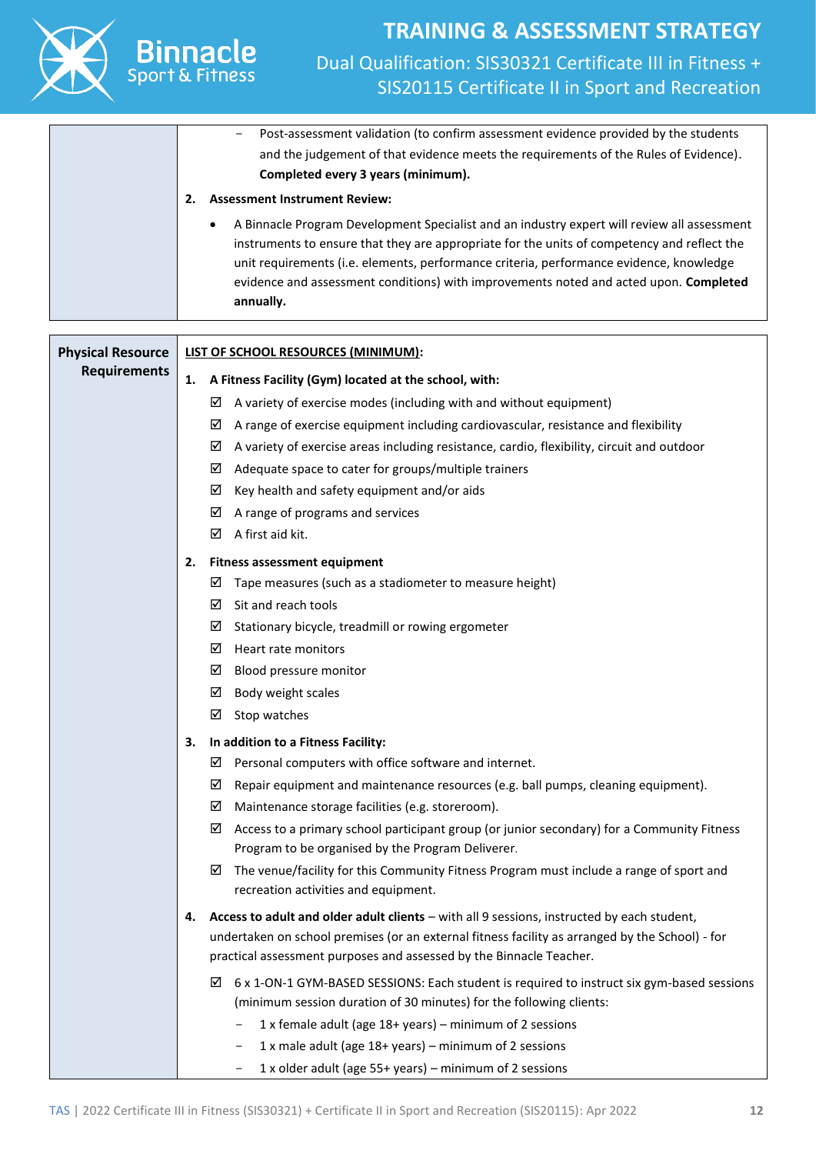

#### **2. Fitness assessment equipment**

- $\boxtimes$  Tape measures (such as a stadiometer to measure height)
- $\boxtimes$  Sit and reach tools
- $\boxtimes$  Stationary bicycle, treadmill or rowing ergometer
- $\boxtimes$  Heart rate monitors
- Blood pressure monitor
- $\boxtimes$  Body weight scales
- $\boxtimes$  Stop watches
- **3. In addition to a Fitness Facility:**
	- $\boxtimes$  Personal computers with office software and internet.
	- $\boxtimes$  Repair equipment and maintenance resources (e.g. ball pumps, cleaning equipment).
	- $\boxtimes$  Maintenance storage facilities (e.g. storeroom).
	- $\boxtimes$  Access to a primary school participant group (or junior secondary) for a Community Fitness Program to be organised by the Program Deliverer.
	- $\boxtimes$  The venue/facility for this Community Fitness Program must include a range of sport and recreation activities and equipment.
- **4. Access to adult and older adult clients** with all 9 sessions, instructed by each student, undertaken on school premises (or an external fitness facility as arranged by the School) - for practical assessment purposes and assessed by the Binnacle Teacher.
	- $\boxtimes$  6 x 1-ON-1 GYM-BASED SESSIONS: Each student is required to instruct six gym-based sessions (minimum session duration of 30 minutes) for the following clients:
		- 1 x female adult (age 18+ years) minimum of 2 sessions
		- 1 x male adult (age  $18+$  years) minimum of 2 sessions
		- 1 x older adult (age  $55+$  years) minimum of 2 sessions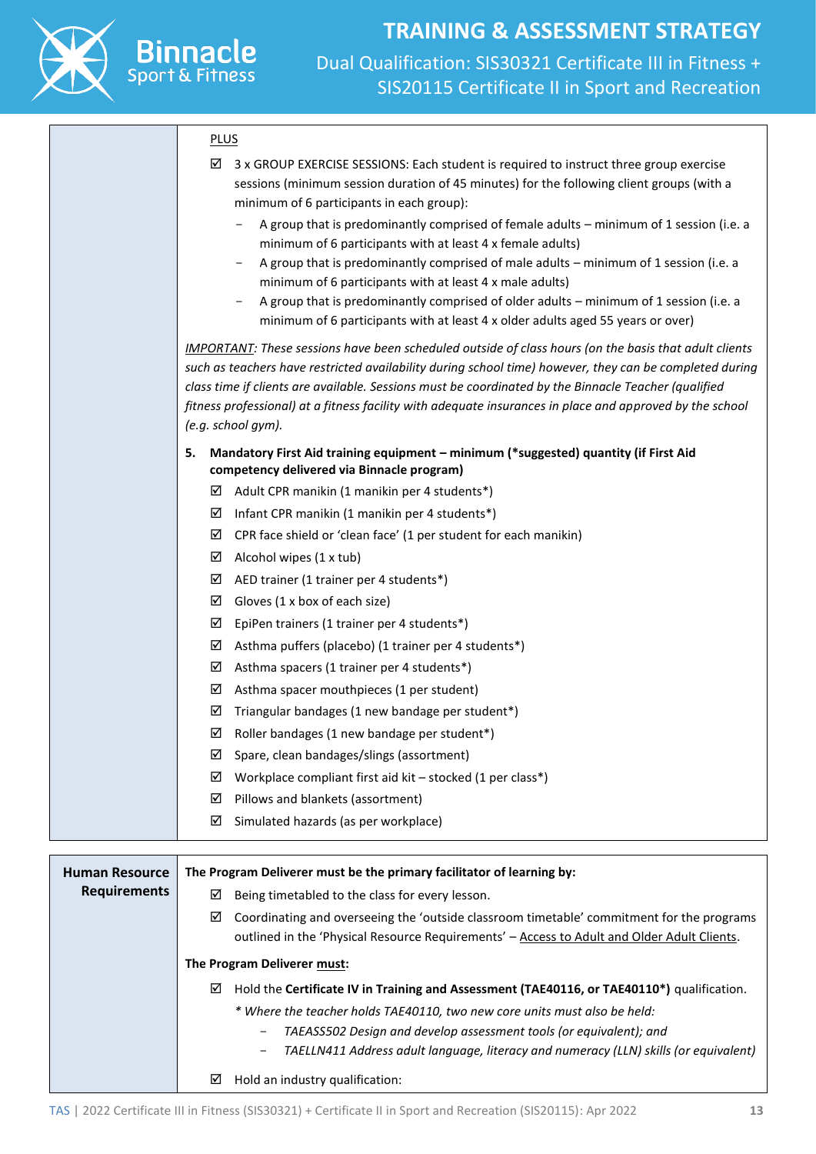

#### **PLUS**

**Binnacle** 

Sport

|                       | 3 x GROUP EXERCISE SESSIONS: Each student is required to instruct three group exercise<br>☑                                                                                                                      |
|-----------------------|------------------------------------------------------------------------------------------------------------------------------------------------------------------------------------------------------------------|
|                       | sessions (minimum session duration of 45 minutes) for the following client groups (with a                                                                                                                        |
|                       | minimum of 6 participants in each group):                                                                                                                                                                        |
|                       | A group that is predominantly comprised of female adults - minimum of 1 session (i.e. a<br>minimum of 6 participants with at least 4 x female adults)                                                            |
|                       | A group that is predominantly comprised of male adults - minimum of 1 session (i.e. a<br>$\qquad \qquad -$                                                                                                       |
|                       | minimum of 6 participants with at least 4 x male adults)                                                                                                                                                         |
|                       | A group that is predominantly comprised of older adults - minimum of 1 session (i.e. a                                                                                                                           |
|                       | minimum of 6 participants with at least 4 x older adults aged 55 years or over)                                                                                                                                  |
|                       | <b>IMPORTANT:</b> These sessions have been scheduled outside of class hours (on the basis that adult clients                                                                                                     |
|                       | such as teachers have restricted availability during school time) however, they can be completed during                                                                                                          |
|                       | class time if clients are available. Sessions must be coordinated by the Binnacle Teacher (qualified<br>fitness professional) at a fitness facility with adequate insurances in place and approved by the school |
|                       | (e.g. school gym).                                                                                                                                                                                               |
|                       | Mandatory First Aid training equipment - minimum (*suggested) quantity (if First Aid<br>5.                                                                                                                       |
|                       | competency delivered via Binnacle program)                                                                                                                                                                       |
|                       | Adult CPR manikin (1 manikin per 4 students*)<br>⊻                                                                                                                                                               |
|                       | Infant CPR manikin (1 manikin per 4 students*)<br>⊻                                                                                                                                                              |
|                       | CPR face shield or 'clean face' (1 per student for each manikin)<br>☑                                                                                                                                            |
|                       | Alcohol wipes (1 x tub)<br>☑                                                                                                                                                                                     |
|                       | AED trainer (1 trainer per 4 students*)<br>☑                                                                                                                                                                     |
|                       | Gloves (1 x box of each size)<br>☑                                                                                                                                                                               |
|                       | EpiPen trainers (1 trainer per 4 students*)<br>☑                                                                                                                                                                 |
|                       | Asthma puffers (placebo) (1 trainer per 4 students*)<br>☑                                                                                                                                                        |
|                       | Asthma spacers (1 trainer per 4 students*)<br>☑                                                                                                                                                                  |
|                       | ☑<br>Asthma spacer mouthpieces (1 per student)                                                                                                                                                                   |
|                       | ☑<br>Triangular bandages (1 new bandage per student*)                                                                                                                                                            |
|                       | Roller bandages (1 new bandage per student*)<br>☑                                                                                                                                                                |
|                       | Spare, clean bandages/slings (assortment)<br>☑                                                                                                                                                                   |
|                       | Workplace compliant first aid kit - stocked (1 per class*)<br>⊠                                                                                                                                                  |
|                       | Pillows and blankets (assortment)<br>⊠                                                                                                                                                                           |
|                       | ☑<br>Simulated hazards (as per workplace)                                                                                                                                                                        |
|                       |                                                                                                                                                                                                                  |
| <b>Human Resource</b> | The Program Deliverer must be the primary facilitator of learning by:                                                                                                                                            |
| <b>Requirements</b>   | Being timetabled to the class for every lesson.<br>⊻                                                                                                                                                             |
|                       | Coordinating and overseeing the 'outside classroom timetable' commitment for the programs<br>⊻                                                                                                                   |
|                       | outlined in the 'Physical Resource Requirements' - Access to Adult and Older Adult Clients.                                                                                                                      |
|                       | The Program Deliverer must:                                                                                                                                                                                      |
|                       | Hold the Certificate IV in Training and Assessment (TAE40116, or TAE40110*) qualification.<br>⊻                                                                                                                  |
|                       | * Where the teacher holds TAE40110, two new core units must also be held:                                                                                                                                        |
|                       | TAEASS502 Design and develop assessment tools (or equivalent); and                                                                                                                                               |
|                       | TAELLN411 Address adult language, literacy and numeracy (LLN) skills (or equivalent)                                                                                                                             |
|                       | Hold an industry qualification:<br>⊻                                                                                                                                                                             |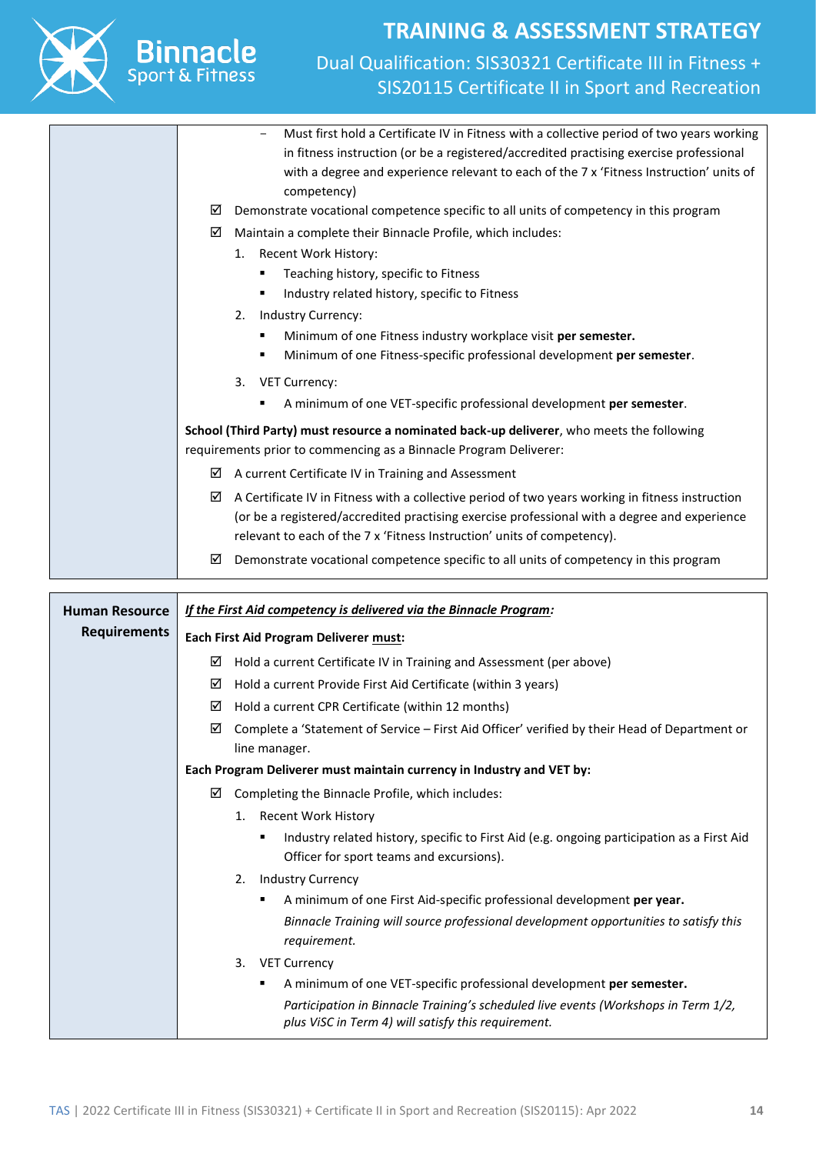

**Binnacle** 

# **TRAINING & ASSESSMENT STRATEGY**

#### Dual Qualification: SIS30321 Certificate III in Fitness + SIS20115 Certificate II in Sport and Recreation

- Must first hold a Certificate IV in Fitness with a collective period of two years working in fitness instruction (or be a registered/accredited practising exercise professional with a degree and experience relevant to each of the 7 x 'Fitness Instruction' units of competency)  $\boxtimes$  Demonstrate vocational competence specific to all units of competency in this program  $\boxtimes$  Maintain a complete their Binnacle Profile, which includes: 1. Recent Work History: ■ Teaching history, specific to Fitness ■ Industry related history, specific to Fitness 2. Industry Currency: Minimum of one Fitness industry workplace visit per semester. ▪ Minimum of one Fitness-specific professional development **per semester**. 3. VET Currency: ▪ A minimum of one VET-specific professional development **per semester**. **School (Third Party) must resource a nominated back-up deliverer**, who meets the following requirements prior to commencing as a Binnacle Program Deliverer:  $\boxtimes$  A current Certificate IV in Training and Assessment  $\boxtimes$  A Certificate IV in Fitness with a collective period of two years working in fitness instruction (or be a registered/accredited practising exercise professional with a degree and experience relevant to each of the 7 x 'Fitness Instruction' units of competency).  $\boxtimes$  Demonstrate vocational competence specific to all units of competency in this program

| <b>Human Resource</b> | If the First Aid competency is delivered via the Binnacle Program:                                                                          |  |  |  |
|-----------------------|---------------------------------------------------------------------------------------------------------------------------------------------|--|--|--|
| <b>Requirements</b>   | Each First Aid Program Deliverer must:                                                                                                      |  |  |  |
|                       | Hold a current Certificate IV in Training and Assessment (per above)<br>☑                                                                   |  |  |  |
|                       | Hold a current Provide First Aid Certificate (within 3 years)<br>☑                                                                          |  |  |  |
|                       | Hold a current CPR Certificate (within 12 months)<br>☑                                                                                      |  |  |  |
|                       | Complete a 'Statement of Service - First Aid Officer' verified by their Head of Department or<br>☑                                          |  |  |  |
|                       | line manager.                                                                                                                               |  |  |  |
|                       | Each Program Deliverer must maintain currency in Industry and VET by:                                                                       |  |  |  |
|                       | Completing the Binnacle Profile, which includes:<br>☑                                                                                       |  |  |  |
|                       | 1. Recent Work History                                                                                                                      |  |  |  |
|                       | Industry related history, specific to First Aid (e.g. ongoing participation as a First Aid<br>٠<br>Officer for sport teams and excursions). |  |  |  |
|                       | <b>Industry Currency</b><br>2.                                                                                                              |  |  |  |
|                       | A minimum of one First Aid-specific professional development per year.<br>٠                                                                 |  |  |  |
|                       | Binnacle Training will source professional development opportunities to satisfy this<br>requirement.                                        |  |  |  |
|                       | 3.<br><b>VET Currency</b>                                                                                                                   |  |  |  |
|                       | A minimum of one VET-specific professional development per semester.<br>٠                                                                   |  |  |  |
|                       | Participation in Binnacle Training's scheduled live events (Workshops in Term 1/2,<br>plus ViSC in Term 4) will satisfy this requirement.   |  |  |  |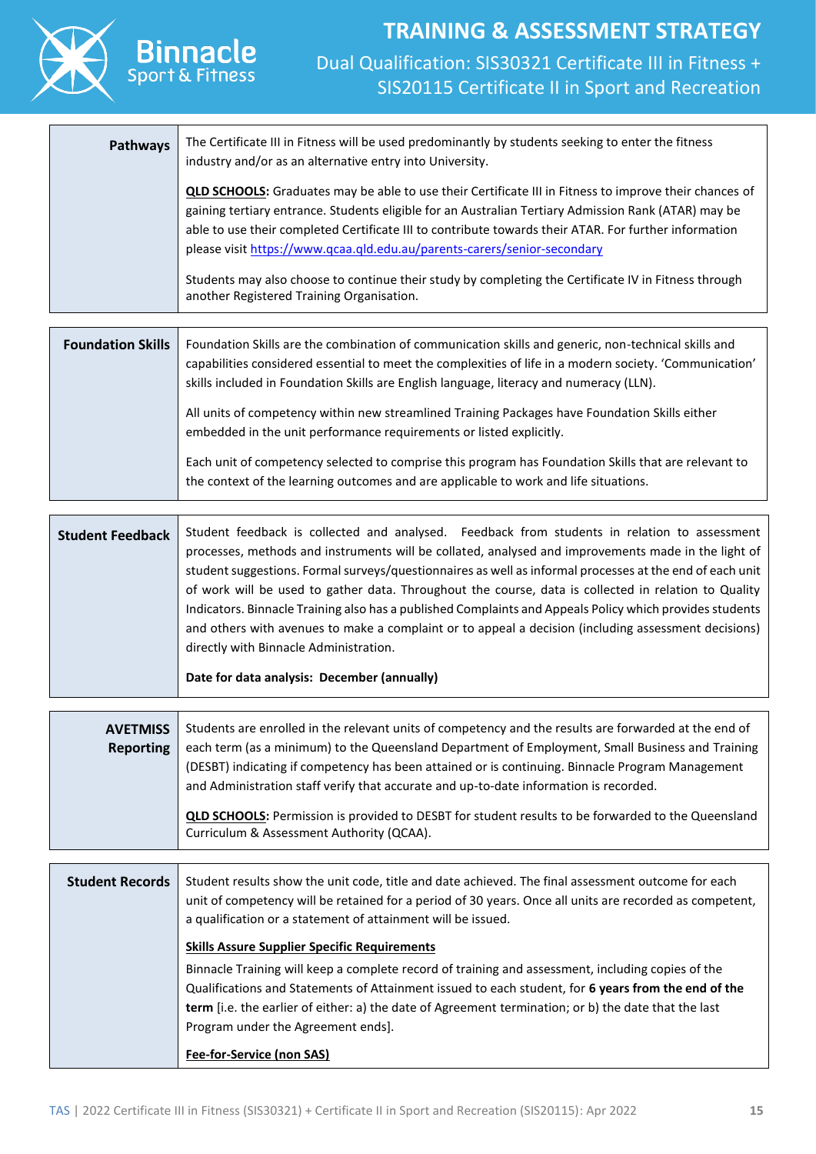

### **TRAINING & ASSESSMENT STRATEGY** Dual Qualification: SIS30321 Certificate III in Fitness + SIS20115 Certificate II in Sport and Recreation

| <b>Pathways</b> | The Certificate III in Fitness will be used predominantly by students seeking to enter the fitness<br>industry and/or as an alternative entry into University.                                                                                                                                                                                                                                      |
|-----------------|-----------------------------------------------------------------------------------------------------------------------------------------------------------------------------------------------------------------------------------------------------------------------------------------------------------------------------------------------------------------------------------------------------|
|                 | QLD SCHOOLS: Graduates may be able to use their Certificate III in Fitness to improve their chances of<br>gaining tertiary entrance. Students eligible for an Australian Tertiary Admission Rank (ATAR) may be<br>able to use their completed Certificate III to contribute towards their ATAR. For further information<br>please visit https://www.qcaa.qld.edu.au/parents-carers/senior-secondary |
|                 | Students may also choose to continue their study by completing the Certificate IV in Fitness through<br>another Registered Training Organisation.                                                                                                                                                                                                                                                   |
|                 |                                                                                                                                                                                                                                                                                                                                                                                                     |
|                 |                                                                                                                                                                                                                                                                                                                                                                                                     |

| <b>Foundation Skills</b> | Foundation Skills are the combination of communication skills and generic, non-technical skills and<br>capabilities considered essential to meet the complexities of life in a modern society. 'Communication'<br>skills included in Foundation Skills are English language, literacy and numeracy (LLN). |
|--------------------------|-----------------------------------------------------------------------------------------------------------------------------------------------------------------------------------------------------------------------------------------------------------------------------------------------------------|
|                          | All units of competency within new streamlined Training Packages have Foundation Skills either<br>embedded in the unit performance requirements or listed explicitly.                                                                                                                                     |
|                          | Each unit of competency selected to comprise this program has Foundation Skills that are relevant to<br>the context of the learning outcomes and are applicable to work and life situations.                                                                                                              |

| <b>Student Feedback</b> | Student feedback is collected and analysed. Feedback from students in relation to assessment             |
|-------------------------|----------------------------------------------------------------------------------------------------------|
|                         | processes, methods and instruments will be collated, analysed and improvements made in the light of      |
|                         | student suggestions. Formal surveys/questionnaires as well as informal processes at the end of each unit |
|                         | of work will be used to gather data. Throughout the course, data is collected in relation to Quality     |
|                         | Indicators. Binnacle Training also has a published Complaints and Appeals Policy which provides students |
|                         | and others with avenues to make a complaint or to appeal a decision (including assessment decisions)     |
|                         | directly with Binnacle Administration.                                                                   |
|                         |                                                                                                          |
|                         | Date for data analysis: December (annually)                                                              |

| <b>AVETMISS</b><br>Reporting | Students are enrolled in the relevant units of competency and the results are forwarded at the end of<br>each term (as a minimum) to the Queensland Department of Employment, Small Business and Training<br>(DESBT) indicating if competency has been attained or is continuing. Binnacle Program Management<br>and Administration staff verify that accurate and up-to-date information is recorded. |
|------------------------------|--------------------------------------------------------------------------------------------------------------------------------------------------------------------------------------------------------------------------------------------------------------------------------------------------------------------------------------------------------------------------------------------------------|
|                              | <b>QLD SCHOOLS:</b> Permission is provided to DESBT for student results to be forwarded to the Queensland<br>Curriculum & Assessment Authority (QCAA).                                                                                                                                                                                                                                                 |

| <b>Student Records</b> | Student results show the unit code, title and date achieved. The final assessment outcome for each<br>unit of competency will be retained for a period of 30 years. Once all units are recorded as competent,<br>a qualification or a statement of attainment will be issued.                                                                         |
|------------------------|-------------------------------------------------------------------------------------------------------------------------------------------------------------------------------------------------------------------------------------------------------------------------------------------------------------------------------------------------------|
|                        | <b>Skills Assure Supplier Specific Requirements</b>                                                                                                                                                                                                                                                                                                   |
|                        | Binnacle Training will keep a complete record of training and assessment, including copies of the<br>Qualifications and Statements of Attainment issued to each student, for 6 years from the end of the<br>term [i.e. the earlier of either: a) the date of Agreement termination; or b) the date that the last<br>Program under the Agreement ends. |
|                        | Fee-for-Service (non SAS)                                                                                                                                                                                                                                                                                                                             |